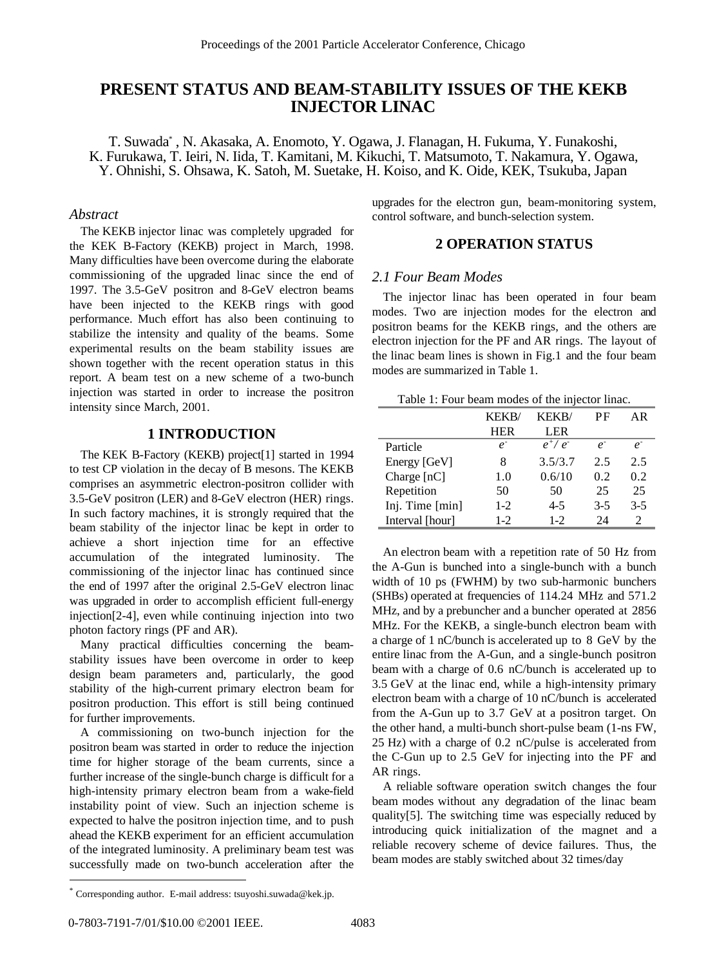# **PRESENT STATUS AND BEAM-STABILITY ISSUES OF THE KEKB INJECTOR LINAC**

T. Suwada\* , N. Akasaka, A. Enomoto, Y. Ogawa, J. Flanagan, H. Fukuma, Y. Funakoshi, K. Furukawa, T. Ieiri, N. Iida, T. Kamitani, M. Kikuchi, T. Matsumoto, T. Nakamura, Y. Ogawa, Y. Ohnishi, S. Ohsawa, K. Satoh, M. Suetake, H. Koiso, and K. Oide, KEK, Tsukuba, Japan

## *Abstract*

The KEKB injector linac was completely upgraded for the KEK B-Factory (KEKB) project in March, 1998. Many difficulties have been overcome during the elaborate commissioning of the upgraded linac since the end of 1997. The 3.5-GeV positron and 8-GeV electron beams have been injected to the KEKB rings with good performance. Much effort has also been continuing to stabilize the intensity and quality of the beams. Some experimental results on the beam stability issues are shown together with the recent operation status in this report. A beam test on a new scheme of a two-bunch injection was started in order to increase the positron intensity since March, 2001.

# **1 INTRODUCTION**

The KEK B-Factory (KEKB) project[1] started in 1994 to test CP violation in the decay of B mesons. The KEKB comprises an asymmetric electron-positron collider with 3.5-GeV positron (LER) and 8-GeV electron (HER) rings. In such factory machines, it is strongly required that the beam stability of the injector linac be kept in order to achieve a short injection time for an effective accumulation of the integrated luminosity. The commissioning of the injector linac has continued since the end of 1997 after the original 2.5-GeV electron linac was upgraded in order to accomplish efficient full-energy injection[2-4], even while continuing injection into two photon factory rings (PF and AR).

Many practical difficulties concerning the beamstability issues have been overcome in order to keep design beam parameters and, particularly, the good stability of the high-current primary electron beam for positron production. This effort is still being continued for further improvements.

A commissioning on two-bunch injection for the positron beam was started in order to reduce the injection time for higher storage of the beam currents, since a further increase of the single-bunch charge is difficult for a high-intensity primary electron beam from a wake-field instability point of view. Such an injection scheme is expected to halve the positron injection time, and to push ahead the KEKB experiment for an efficient accumulation of the integrated luminosity. A preliminary beam test was successfully made on two-bunch acceleration after the upgrades for the electron gun, beam-monitoring system, control software, and bunch-selection system.

# **2 OPERATION STATUS**

#### *2.1 Four Beam Modes*

The injector linac has been operated in four beam modes. Two are injection modes for the electron and positron beams for the KEKB rings, and the others are electron injection for the PF and AR rings. The layout of the linac beam lines is shown in Fig.1 and the four beam modes are summarized in Table 1.

| Table 1: Four beam modes of the injector linac. |  |
|-------------------------------------------------|--|
|-------------------------------------------------|--|

|                 | KEKB/       | KEKB/           | РF                | AR             |
|-----------------|-------------|-----------------|-------------------|----------------|
|                 | HER         | LER <sub></sub> |                   |                |
| Particle        | $e^{\cdot}$ | $e^+/e^-$       | $e^{\overline{}}$ | $e^{\cdot}$    |
| Energy [GeV]    | 8           | 3.5/3.7         | 2.5               | 2.5            |
| Charge $[nC]$   | 1.0         | 0.6/10          | 0.2               | 0.2            |
| Repetition      | 50          | 50              | 25                | 25             |
| Inj. Time [min] | $1-2$       | 4-5             | $3 - 5$           | $3-5$          |
| Interval [hour] | $1-2$       | $1-2$           | 24                | $\mathfrak{D}$ |

An electron beam with a repetition rate of 50 Hz from the A-Gun is bunched into a single-bunch with a bunch width of 10 ps (FWHM) by two sub-harmonic bunchers (SHBs) operated at frequencies of 114.24 MHz and 571.2 MHz, and by a prebuncher and a buncher operated at 2856 MHz. For the KEKB, a single-bunch electron beam with a charge of 1 nC/bunch is accelerated up to 8 GeV by the entire linac from the A-Gun, and a single-bunch positron beam with a charge of 0.6 nC/bunch is accelerated up to 3.5 GeV at the linac end, while a high-intensity primary electron beam with a charge of 10 nC/bunch is accelerated from the A-Gun up to 3.7 GeV at a positron target. On the other hand, a multi-bunch short-pulse beam (1-ns FW, 25 Hz) with a charge of 0.2 nC/pulse is accelerated from the C-Gun up to 2.5 GeV for injecting into the PF and AR rings.

A reliable software operation switch changes the four beam modes without any degradation of the linac beam quality[5]. The switching time was especially reduced by introducing quick initialization of the magnet and a reliable recovery scheme of device failures. Thus, the beam modes are stably switched about 32 times/day

 $\overline{a}$ 

<sup>\*</sup> Corresponding author. E-mail address: tsuyoshi.suwada@kek.jp.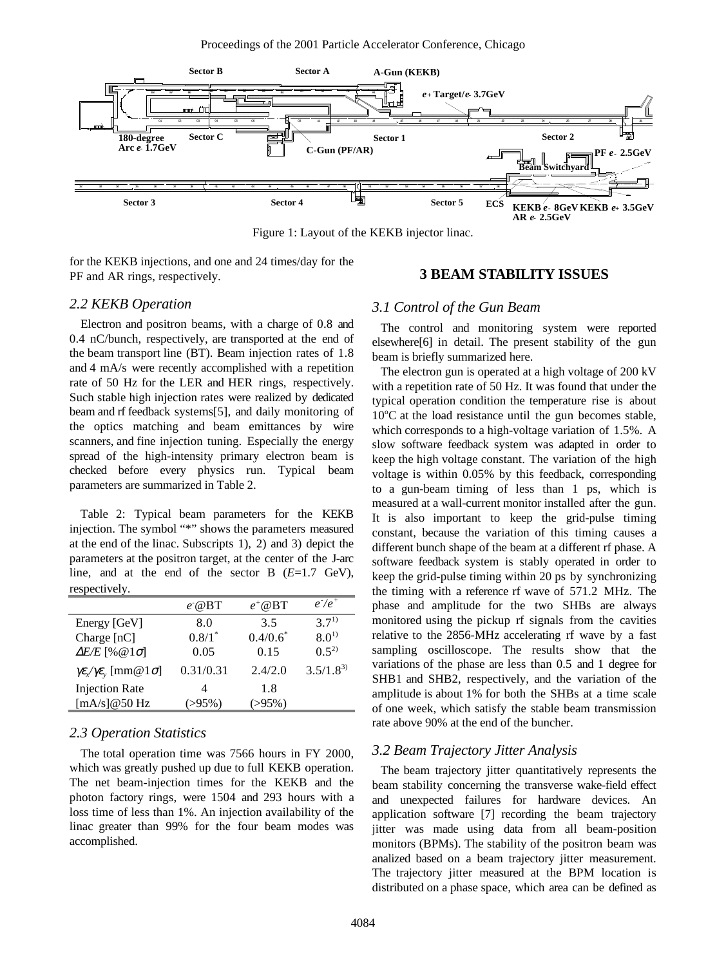

Figure 1: Layout of the KEKB injector linac.

for the KEKB injections, and one and 24 times/day for the PF and AR rings, respectively.

# *2.2 KEKB Operation*

Electron and positron beams, with a charge of 0.8 and 0.4 nC/bunch, respectively, are transported at the end of the beam transport line (BT). Beam injection rates of 1.8 and 4 mA/s were recently accomplished with a repetition rate of 50 Hz for the LER and HER rings, respectively. Such stable high injection rates were realized by dedicated beam and rf feedback systems[5], and daily monitoring of the optics matching and beam emittances by wire scanners, and fine injection tuning. Especially the energy spread of the high-intensity primary electron beam is checked before every physics run. Typical beam parameters are summarized in Table 2.

Table 2: Typical beam parameters for the KEKB injection. The symbol "\*" shows the parameters measured at the end of the linac. Subscripts 1), 2) and 3) depict the parameters at the positron target, at the center of the J-arc line, and at the end of the sector B (*E*=1.7 GeV), respectively.

|                                                                                       | $e^{\cdot \omega}$ BT | $e^{\dagger}$ @ BT | $e^+e^+$      |
|---------------------------------------------------------------------------------------|-----------------------|--------------------|---------------|
| Energy [GeV]                                                                          | 8.0                   | 3.5                | $37^{1}$      |
| Charge $[nC]$                                                                         | $0.8/1*$              | $0.4/0.6^*$        | $8.0^{1}$     |
| $\Delta E/E$ [% @ 1 $\sigma$ ]                                                        | 0.05                  | 0.15               | $(1, 5^2)$    |
| $\gamma \varepsilon_{\mathbf{x}} / \gamma \varepsilon_{\mathbf{y}}$ [mm@ 1 $\sigma$ ] | 0.31/0.31             | 2.4/2.0            | $3.5/1.8^{3}$ |
| <b>Injection Rate</b>                                                                 | 4                     | 1.8                |               |
| [mA/s]@50 Hz                                                                          | $( > 95\%)$           | $(>95\%)$          |               |

# *2.3 Operation Statistics*

The total operation time was 7566 hours in FY 2000, which was greatly pushed up due to full KEKB operation. The net beam-injection times for the KEKB and the photon factory rings, were 1504 and 293 hours with a loss time of less than 1%. An injection availability of the linac greater than 99% for the four beam modes was accomplished.

# **3 BEAM STABILITY ISSUES**

### *3.1 Control of the Gun Beam*

The control and monitoring system were reported elsewhere[6] in detail. The present stability of the gun beam is briefly summarized here.

The electron gun is operated at a high voltage of 200 kV with a repetition rate of 50 Hz. It was found that under the typical operation condition the temperature rise is about 10°C at the load resistance until the gun becomes stable, which corresponds to a high-voltage variation of 1.5%. A slow software feedback system was adapted in order to keep the high voltage constant. The variation of the high voltage is within 0.05% by this feedback, corresponding to a gun-beam timing of less than 1 ps, which is measured at a wall-current monitor installed after the gun. It is also important to keep the grid-pulse timing constant, because the variation of this timing causes a different bunch shape of the beam at a different rf phase. A software feedback system is stably operated in order to keep the grid-pulse timing within 20 ps by synchronizing the timing with a reference rf wave of 571.2 MHz. The phase and amplitude for the two SHBs are always monitored using the pickup rf signals from the cavities relative to the 2856-MHz accelerating rf wave by a fast sampling oscilloscope. The results show that the variations of the phase are less than 0.5 and 1 degree for SHB1 and SHB2, respectively, and the variation of the amplitude is about 1% for both the SHBs at a time scale of one week, which satisfy the stable beam transmission rate above 90% at the end of the buncher.

#### *3.2 Beam Trajectory Jitter Analysis*

The beam trajectory jitter quantitatively represents the beam stability concerning the transverse wake-field effect and unexpected failures for hardware devices. An application software [7] recording the beam trajectory jitter was made using data from all beam-position monitors (BPMs). The stability of the positron beam was analized based on a beam trajectory jitter measurement. The trajectory jitter measured at the BPM location is distributed on a phase space, which area can be defined as